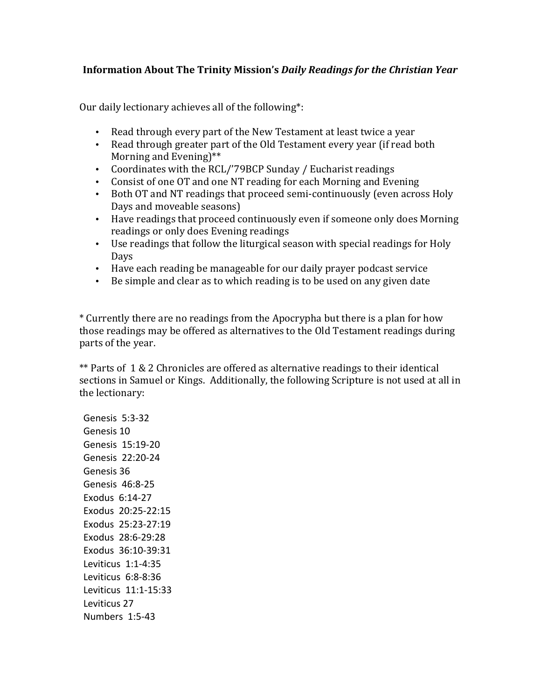## Information About The Trinity Mission's *Daily Readings for the Christian Year*

Our daily lectionary achieves all of the following\*:

- Read through every part of the New Testament at least twice a vear
- Read through greater part of the Old Testament every year (if read both Morning and Evening) $**$
- Coordinates with the RCL/'79BCP Sunday / Eucharist readings
- Consist of one OT and one NT reading for each Morning and Evening
- Both OT and NT readings that proceed semi-continuously (even across Holy Days and moveable seasons)
- Have readings that proceed continuously even if someone only does Morning readings or only does Evening readings
- Use readings that follow the liturgical season with special readings for Holy Days
- Have each reading be manageable for our daily prayer podcast service
- Be simple and clear as to which reading is to be used on any given date

\* Currently there are no readings from the Apocrypha but there is a plan for how those readings may be offered as alternatives to the Old Testament readings during parts of the year.

\*\* Parts of  $1\& 2$  Chronicles are offered as alternative readings to their identical sections in Samuel or Kings. Additionally, the following Scripture is not used at all in the lectionary:

Genesis 5:3-32 Genesis 10 Genesis 15:19-20 Genesis 22:20-24 Genesis 36 Genesis 46:8-25 Exodus 6:14-27 Exodus 20:25-22:15 Exodus 25:23-27:19 Exodus 28:6-29:28 Exodus 36:10-39:31 Leviticus 1:1-4:35 Leviticus 6:8-8:36 Leviticus 11:1-15:33 Leviticus 27 Numbers 1:5-43